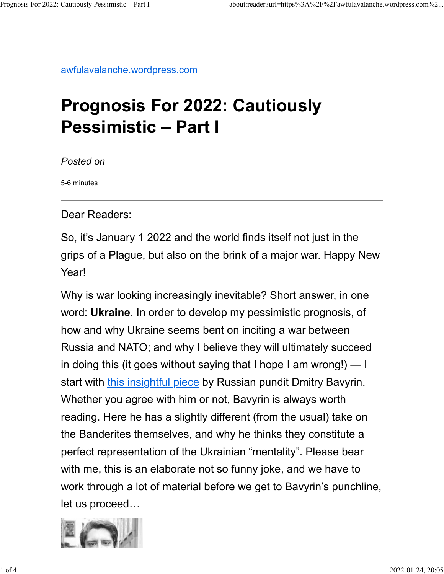awfulavalanche.wordpress.com

## Prognosis For 2022: Cautiously Pessimistic – Part I

Posted on

5-6 minutes

Dear Readers:

So, it's January 1 2022 and the world finds itself not just in the grips of a Plague, but also on the brink of a major war. Happy New Year!

Why is war looking increasingly inevitable? Short answer, in one word: Ukraine. In order to develop my pessimistic prognosis, of how and why Ukraine seems bent on inciting a war between Russia and NATO; and why I believe they will ultimately succeed in doing this (it goes without saying that I hope I am wrong!) — I start with this insightful piece by Russian pundit Dmitry Bavyrin. Whether you agree with him or not, Bavyrin is always worth reading. Here he has a slightly different (from the usual) take on the Banderites themselves, and why he thinks they constitute a perfect representation of the Ukrainian "mentality". Please bear with me, this is an elaborate not so funny joke, and we have to work through a lot of material before we get to Bavyrin's punchline, let us proceed…

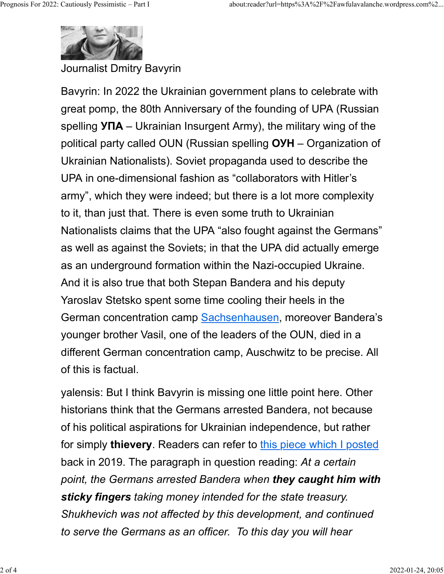

Journalist Dmitry Bavyrin

Bavyrin: In 2022 the Ukrainian government plans to celebrate with great pomp, the 80th Anniversary of the founding of UPA (Russian spelling  $Y \Pi A - U k$ rainian Insurgent Army), the military wing of the political party called OUN (Russian spelling ОУН – Organization of Ukrainian Nationalists). Soviet propaganda used to describe the UPA in one-dimensional fashion as "collaborators with Hitler's army", which they were indeed; but there is a lot more complexity to it, than just that. There is even some truth to Ukrainian Nationalists claims that the UPA "also fought against the Germans" as well as against the Soviets; in that the UPA did actually emerge as an underground formation within the Nazi-occupied Ukraine. And it is also true that both Stepan Bandera and his deputy Yaroslav Stetsko spent some time cooling their heels in the German concentration camp Sachsenhausen, moreover Bandera's younger brother Vasil, one of the leaders of the OUN, died in a different German concentration camp, Auschwitz to be precise. All of this is factual.

yalensis: But I think Bavyrin is missing one little point here. Other historians think that the Germans arrested Bandera, not because of his political aspirations for Ukrainian independence, but rather for simply thievery. Readers can refer to this piece which I posted back in 2019. The paragraph in question reading: At a certain point, the Germans arrested Bandera when they caught him with sticky fingers taking money intended for the state treasury. Shukhevich was not affected by this development, and continued to serve the Germans as an officer. To this day you will hear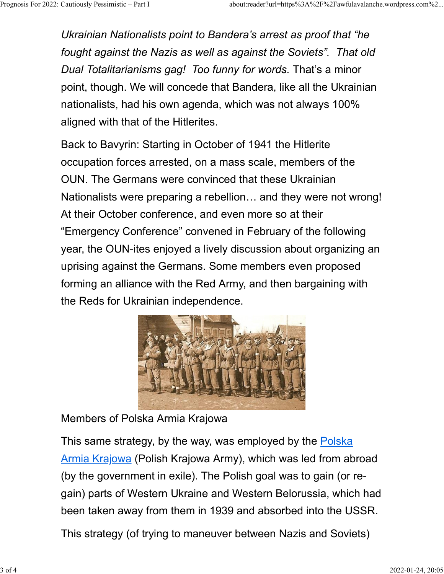Ukrainian Nationalists point to Bandera's arrest as proof that "he fought against the Nazis as well as against the Soviets". That old Dual Totalitarianisms gag! Too funny for words. That's a minor point, though. We will concede that Bandera, like all the Ukrainian nationalists, had his own agenda, which was not always 100% aligned with that of the Hitlerites. Prognosis For 2022: Cautiously Pessimistic – Part I about:reader?url=https%3A%2F%2Fawfulavalanche.wordpress.com%2...<br>Ukrainian Nationalists point to Bandera's arrest as proof that "he<br>fought against the Nazis as well as ag

> Back to Bavyrin: Starting in October of 1941 the Hitlerite occupation forces arrested, on a mass scale, members of the OUN. The Germans were convinced that these Ukrainian Nationalists were preparing a rebellion… and they were not wrong! At their October conference, and even more so at their "Emergency Conference" convened in February of the following year, the OUN-ites enjoyed a lively discussion about organizing an uprising against the Germans. Some members even proposed forming an alliance with the Red Army, and then bargaining with the Reds for Ukrainian independence.



Members of Polska Armia Krajowa

This same strategy, by the way, was employed by the Polska Armia Krajowa (Polish Krajowa Army), which was led from abroad (by the government in exile). The Polish goal was to gain (or regain) parts of Western Ukraine and Western Belorussia, which had been taken away from them in 1939 and absorbed into the USSR.

This strategy (of trying to maneuver between Nazis and Soviets)